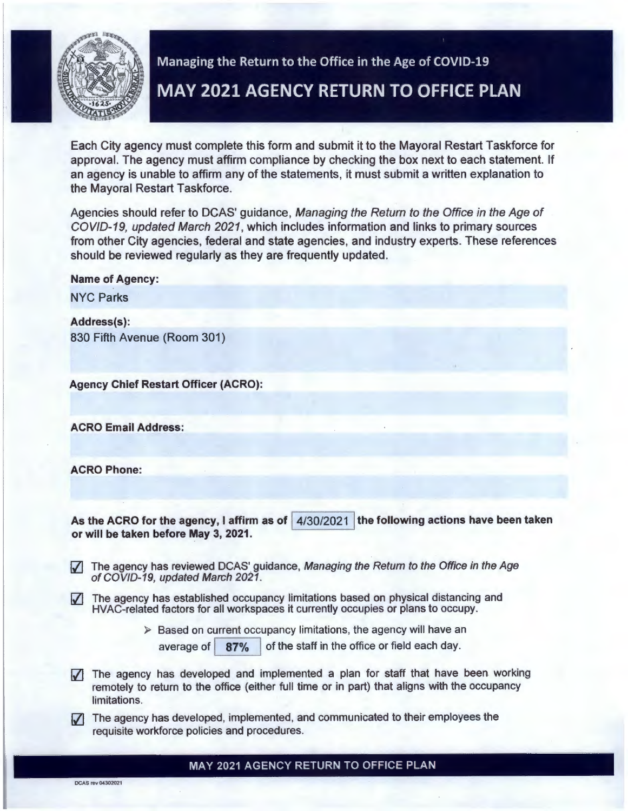

## Managing the Return to the Office in the Age of COVID-19

# **MAY 2021 AGENCY RETURN TO OFFICE PLAN**

Each City agency must complete this form and submit it to the Mayoral Restart Taskforce for approval. The agency must affirm compliance by checking the box next to each statement. If an agency is unable to affirm any of the statements, it must submit a written explanation to the Mayoral Restart Taskforce.

Agencies should refer to DCAS' guidance, Managing the Return to the Office in the Age of COV/0-19, updated March 2021, which includes information and links to primary sources from other City agencies, federal and state agencies, and industry experts. These references should be reviewed regularly as they are frequently updated.

Name of Agency:

NYC Parks

Address(s): 830 Fifth Avenue (Room 301)

Agency Chief Restart Officer (ACRO):

ACRO Email Address:

ACRO Phone:

As the ACRO for the agency, I affirm as of  $\left[4/30/2021\right]$  the following actions have been taken or will be taken before May 3, 2021.

- $|\overline{J}|$  The agency has reviewed DCAS' guidance, Managing the Return to the Office in the Age of COVID-19, updated March 2021.
- $\sqrt{\phantom{a}}$  The agency has established occupancy limitations based on physical distancing and HVAC-related factors for all workspaces it currently occupies or plans to occupy.
	- $\triangleright$  Based on current occupancy limitations, the agency will have an
		- average of  $\left| 87\% \right|$  of the staff in the office or field each day.
- $\sqrt{ }$  The agency has developed and implemented a plan for staff that have been working remotely to return to the office (either full time or in part) that aligns with the occupancy limitations.
- $|\overline{J}|$  The agency has developed, implemented, and communicated to their employees the requisite workforce policies and procedures.

MAY 2021 AGENCY RETURN TO OFFICE PLAN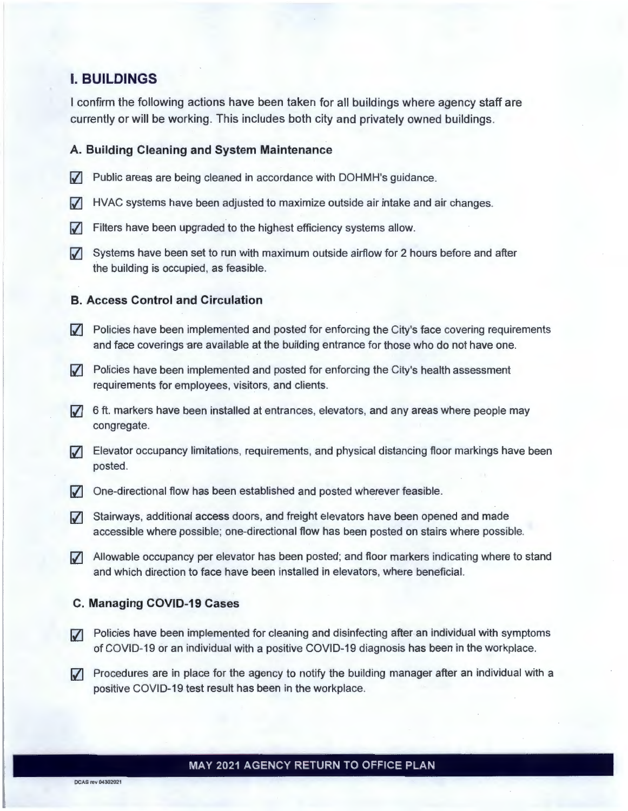## **I. BUILDINGS**

I confirm the following actions have been taken for all buildings where agency staff are currently or will be working. This includes both city and privately owned buildings.

#### **A. Building Cleaning and System Maintenance**

- $\triangledown$  Public areas are being cleaned in accordance with DOHMH's guidance.
- $\triangledown$  HVAC systems have been adjusted to maximize outside air intake and air changes.
- $\triangledown$  Filters have been upgraded to the highest efficiency systems allow.
- $\sqrt{ }$  Systems have been set to run with maximum outside airflow for 2 hours before and after the building is occupied, as feasible.

#### **B. Access Control and Circulation**

- $\triangledown$  Policies have been implemented and posted for enforcing the City's face covering requirements and face coverings are available at the building entrance for those who do not have one.
- $\nabla$  Policies have been implemented and posted for enforcing the City's health assessment requirements for employees, visitors, and clients.
- $\sqrt{3}$  6 ft. markers have been installed at entrances, elevators, and any areas where people may congregate.
- IZJ Elevator occupancy limitations, requirements, and physical distancing floor markings have been posted.
- $\nabla$  One-directional flow has been established and posted wherever feasible.
- $\sqrt{ }$  Stairways, additional access doors, and freight elevators have been opened and made accessible where possible; one-directional flow has been posted on stairs where possible.
- IZJ Allowable occupancy per elevator has been posted; and floor markers indicating where to stand and which direction to face have been installed in elevators, where beneficial.

#### **C. Managing COVID-19 Cases**

- $\nabla$  Policies have been implemented for cleaning and disinfecting after an individual with symptoms of COVID-19 or an individual with a positive COVID-19 diagnosis has been in the workplace.
- $\nabla$  Procedures are in place for the agency to notify the building manager after an individual with a positive COVID-19 test result has been in the workplace.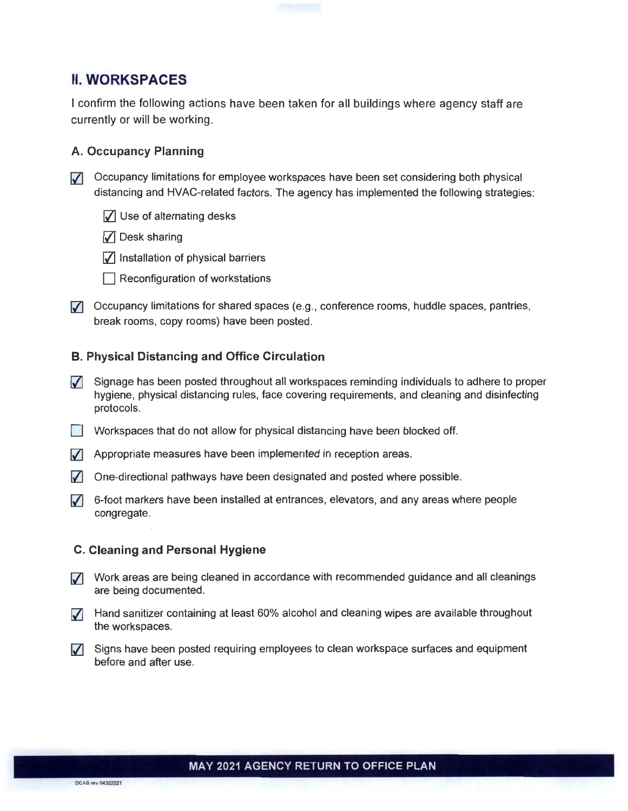

I confirm the following actions have been taken for all buildings where agency staff are currently or will be working.

#### **A. Occupancy Planning**

**7** Occupancy limitations for employee workspaces have been set considering both physical distancing and HVAC-related factors. The agency has implemented the following strategies:

- $\sqrt{ }$  Use of alternating desks
- $\sqrt{ }$  Desk sharing
- $\sqrt{\phantom{a}}$  Installation of physical barriers
- $\Box$  Reconfiguration of workstations
- $\nabla$  Occupancy limitations for shared spaces (e.g., conference rooms, huddle spaces, pantries, break rooms, copy rooms) have been posted.

### **B. Physical Distancing and Office Circulation**

- $\sqrt{ }$  Signage has been posted throughout all workspaces reminding individuals to adhere to proper hygiene, physical distancing rules, face covering requirements, and cleaning and disinfecting protocols.
- Workspaces that do not allow for physical distancing have been blocked off.
- $\sqrt{ }$  Appropriate measures have been implemented in reception areas.
- $\sqrt{\phantom{a}}$  One-directional pathways have been designated and posted where possible.
- $\sqrt{ }$  6-foot markers have been installed at entrances, elevators, and any areas where people congregate.

#### **C. Cleaning and Personal Hygiene**

- **7** Work areas are being cleaned in accordance with recommended guidance and all cleanings are being documented.
- 7 Hand sanitizer containing at least 60% alcohol and cleaning wipes are available throughout the workspaces.
- $\sqrt{\phantom{a}}$  Signs have been posted requiring employees to clean workspace surfaces and equipment before and after use.